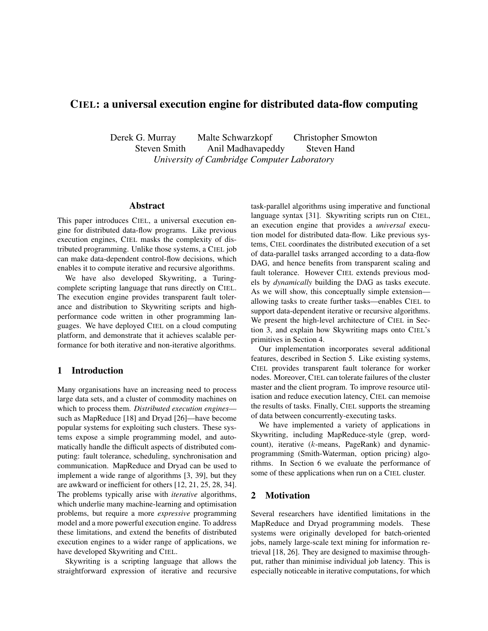# CIEL: a universal execution engine for distributed data-flow computing

Derek G. Murray Malte Schwarzkopf Christopher Smowton Steven Smith Anil Madhavapeddy Steven Hand *University of Cambridge Computer Laboratory*

## Abstract

This paper introduces CIEL, a universal execution engine for distributed data-flow programs. Like previous execution engines, CIEL masks the complexity of distributed programming. Unlike those systems, a CIEL job can make data-dependent control-flow decisions, which enables it to compute iterative and recursive algorithms.

We have also developed Skywriting, a Turingcomplete scripting language that runs directly on CIEL. The execution engine provides transparent fault tolerance and distribution to Skywriting scripts and highperformance code written in other programming languages. We have deployed CIEL on a cloud computing platform, and demonstrate that it achieves scalable performance for both iterative and non-iterative algorithms.

#### 1 Introduction

Many organisations have an increasing need to process large data sets, and a cluster of commodity machines on which to process them. *Distributed execution engines* such as MapReduce [18] and Dryad [26]—have become popular systems for exploiting such clusters. These systems expose a simple programming model, and automatically handle the difficult aspects of distributed computing: fault tolerance, scheduling, synchronisation and communication. MapReduce and Dryad can be used to implement a wide range of algorithms [3, 39], but they are awkward or inefficient for others [12, 21, 25, 28, 34]. The problems typically arise with *iterative* algorithms, which underlie many machine-learning and optimisation problems, but require a more *expressive* programming model and a more powerful execution engine. To address these limitations, and extend the benefits of distributed execution engines to a wider range of applications, we have developed Skywriting and CIEL.

Skywriting is a scripting language that allows the straightforward expression of iterative and recursive task-parallel algorithms using imperative and functional language syntax [31]. Skywriting scripts run on CIEL, an execution engine that provides a *universal* execution model for distributed data-flow. Like previous systems, CIEL coordinates the distributed execution of a set of data-parallel tasks arranged according to a data-flow DAG, and hence benefits from transparent scaling and fault tolerance. However CIEL extends previous models by *dynamically* building the DAG as tasks execute. As we will show, this conceptually simple extension allowing tasks to create further tasks—enables CIEL to support data-dependent iterative or recursive algorithms. We present the high-level architecture of CIEL in Section 3, and explain how Skywriting maps onto CIEL's primitives in Section 4.

Our implementation incorporates several additional features, described in Section 5. Like existing systems, CIEL provides transparent fault tolerance for worker nodes. Moreover, CIEL can tolerate failures of the cluster master and the client program. To improve resource utilisation and reduce execution latency, CIEL can memoise the results of tasks. Finally, CIEL supports the streaming of data between concurrently-executing tasks.

We have implemented a variety of applications in Skywriting, including MapReduce-style (grep, wordcount), iterative (k-means, PageRank) and dynamicprogramming (Smith-Waterman, option pricing) algorithms. In Section 6 we evaluate the performance of some of these applications when run on a CIEL cluster.

## 2 Motivation

Several researchers have identified limitations in the MapReduce and Dryad programming models. These systems were originally developed for batch-oriented jobs, namely large-scale text mining for information retrieval [18, 26]. They are designed to maximise throughput, rather than minimise individual job latency. This is especially noticeable in iterative computations, for which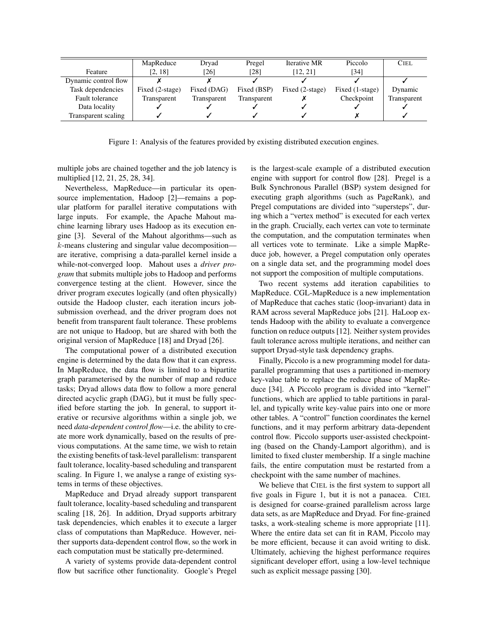|                        | MapReduce       | Drvad       | Pregel      | Iterative MR    | Piccolo         | <b>CIEL</b> |
|------------------------|-----------------|-------------|-------------|-----------------|-----------------|-------------|
| Feature                | [2, 18]         | [26]        | [28]        | [12, 21]        | [34]            |             |
| Dynamic control flow   |                 |             |             |                 |                 |             |
| Task dependencies      | Fixed (2-stage) | Fixed (DAG) | Fixed (BSP) | Fixed (2-stage) | Fixed (1-stage) | Dynamic     |
| <b>Fault tolerance</b> | Transparent     | Transparent | Transparent |                 | Checkpoint      | Transparent |
| Data locality          |                 |             |             |                 |                 |             |
| Transparent scaling    |                 |             |             |                 |                 |             |

Figure 1: Analysis of the features provided by existing distributed execution engines.

multiple jobs are chained together and the job latency is multiplied [12, 21, 25, 28, 34].

Nevertheless, MapReduce—in particular its opensource implementation, Hadoop [2]—remains a popular platform for parallel iterative computations with large inputs. For example, the Apache Mahout machine learning library uses Hadoop as its execution engine [3]. Several of the Mahout algorithms—such as k-means clustering and singular value decomposition are iterative, comprising a data-parallel kernel inside a while-not-converged loop. Mahout uses a *driver program* that submits multiple jobs to Hadoop and performs convergence testing at the client. However, since the driver program executes logically (and often physically) outside the Hadoop cluster, each iteration incurs jobsubmission overhead, and the driver program does not benefit from transparent fault tolerance. These problems are not unique to Hadoop, but are shared with both the original version of MapReduce [18] and Dryad [26].

The computational power of a distributed execution engine is determined by the data flow that it can express. In MapReduce, the data flow is limited to a bipartite graph parameterised by the number of map and reduce tasks; Dryad allows data flow to follow a more general directed acyclic graph (DAG), but it must be fully specified before starting the job. In general, to support iterative or recursive algorithms within a single job, we need *data-dependent control flow*—i.e. the ability to create more work dynamically, based on the results of previous computations. At the same time, we wish to retain the existing benefits of task-level parallelism: transparent fault tolerance, locality-based scheduling and transparent scaling. In Figure 1, we analyse a range of existing systems in terms of these objectives.

MapReduce and Dryad already support transparent fault tolerance, locality-based scheduling and transparent scaling [18, 26]. In addition, Dryad supports arbitrary task dependencies, which enables it to execute a larger class of computations than MapReduce. However, neither supports data-dependent control flow, so the work in each computation must be statically pre-determined.

A variety of systems provide data-dependent control flow but sacrifice other functionality. Google's Pregel is the largest-scale example of a distributed execution engine with support for control flow [28]. Pregel is a Bulk Synchronous Parallel (BSP) system designed for executing graph algorithms (such as PageRank), and Pregel computations are divided into "supersteps", during which a "vertex method" is executed for each vertex in the graph. Crucially, each vertex can vote to terminate the computation, and the computation terminates when all vertices vote to terminate. Like a simple MapReduce job, however, a Pregel computation only operates on a single data set, and the programming model does not support the composition of multiple computations.

Two recent systems add iteration capabilities to MapReduce. CGL-MapReduce is a new implementation of MapReduce that caches static (loop-invariant) data in RAM across several MapReduce jobs [21]. HaLoop extends Hadoop with the ability to evaluate a convergence function on reduce outputs [12]. Neither system provides fault tolerance across multiple iterations, and neither can support Dryad-style task dependency graphs.

Finally, Piccolo is a new programming model for dataparallel programming that uses a partitioned in-memory key-value table to replace the reduce phase of MapReduce [34]. A Piccolo program is divided into "kernel" functions, which are applied to table partitions in parallel, and typically write key-value pairs into one or more other tables. A "control" function coordinates the kernel functions, and it may perform arbitrary data-dependent control flow. Piccolo supports user-assisted checkpointing (based on the Chandy-Lamport algorithm), and is limited to fixed cluster membership. If a single machine fails, the entire computation must be restarted from a checkpoint with the same number of machines.

We believe that CIEL is the first system to support all five goals in Figure 1, but it is not a panacea. CIEL is designed for coarse-grained parallelism across large data sets, as are MapReduce and Dryad. For fine-grained tasks, a work-stealing scheme is more appropriate [11]. Where the entire data set can fit in RAM, Piccolo may be more efficient, because it can avoid writing to disk. Ultimately, achieving the highest performance requires significant developer effort, using a low-level technique such as explicit message passing [30].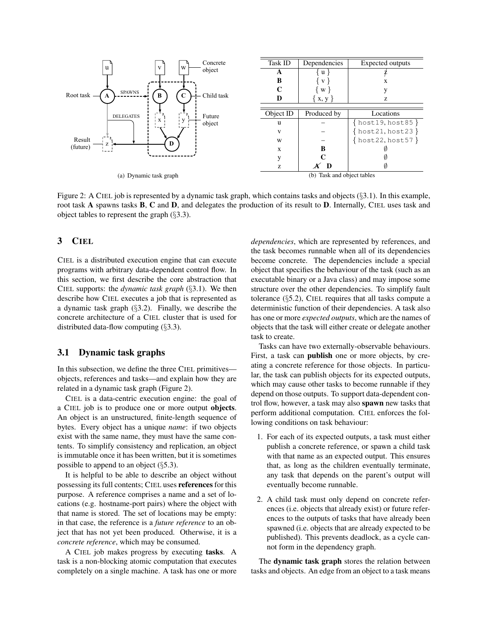

Figure 2: A CIEL job is represented by a dynamic task graph, which contains tasks and objects (§3.1). In this example, root task A spawns tasks B, C and D, and delegates the production of its result to D. Internally, CIEL uses task and object tables to represent the graph (§3.3).

## 3 CIEL

CIEL is a distributed execution engine that can execute programs with arbitrary data-dependent control flow. In this section, we first describe the core abstraction that CIEL supports: the *dynamic task graph* (§3.1). We then describe how CIEL executes a job that is represented as a dynamic task graph (§3.2). Finally, we describe the concrete architecture of a CIEL cluster that is used for distributed data-flow computing (§3.3).

## 3.1 Dynamic task graphs

In this subsection, we define the three CIEL primitives objects, references and tasks—and explain how they are related in a dynamic task graph (Figure 2).

CIEL is a data-centric execution engine: the goal of a CIEL job is to produce one or more output objects. An object is an unstructured, finite-length sequence of bytes. Every object has a unique *name*: if two objects exist with the same name, they must have the same contents. To simplify consistency and replication, an object is immutable once it has been written, but it is sometimes possible to append to an object  $(\S 5.3)$ .

It is helpful to be able to describe an object without possessing its full contents; CIEL uses references for this purpose. A reference comprises a name and a set of locations (e.g. hostname-port pairs) where the object with that name is stored. The set of locations may be empty: in that case, the reference is a *future reference* to an object that has not yet been produced. Otherwise, it is a *concrete reference*, which may be consumed.

A CIEL job makes progress by executing tasks. A task is a non-blocking atomic computation that executes completely on a single machine. A task has one or more *dependencies*, which are represented by references, and the task becomes runnable when all of its dependencies become concrete. The dependencies include a special object that specifies the behaviour of the task (such as an executable binary or a Java class) and may impose some structure over the other dependencies. To simplify fault tolerance  $(\S$ 5.2), CIEL requires that all tasks compute a deterministic function of their dependencies. A task also has one or more *expected outputs*, which are the names of objects that the task will either create or delegate another task to create.

Tasks can have two externally-observable behaviours. First, a task can publish one or more objects, by creating a concrete reference for those objects. In particular, the task can publish objects for its expected outputs, which may cause other tasks to become runnable if they depend on those outputs. To support data-dependent control flow, however, a task may also spawn new tasks that perform additional computation. CIEL enforces the following conditions on task behaviour:

- 1. For each of its expected outputs, a task must either publish a concrete reference, or spawn a child task with that name as an expected output. This ensures that, as long as the children eventually terminate, any task that depends on the parent's output will eventually become runnable.
- 2. A child task must only depend on concrete references (i.e. objects that already exist) or future references to the outputs of tasks that have already been spawned (i.e. objects that are already expected to be published). This prevents deadlock, as a cycle cannot form in the dependency graph.

The dynamic task graph stores the relation between tasks and objects. An edge from an object to a task means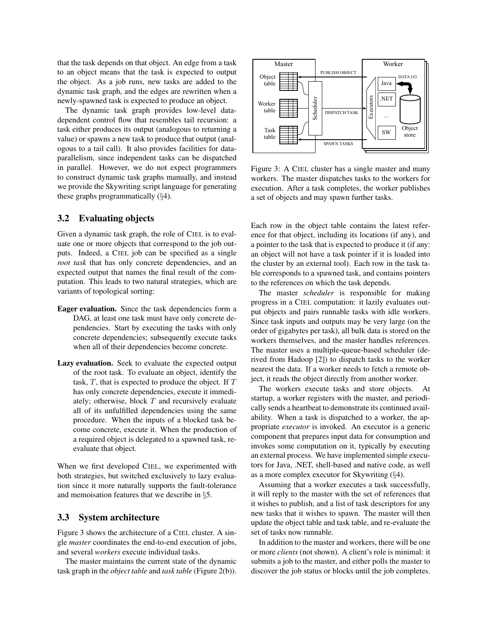that the task depends on that object. An edge from a task to an object means that the task is expected to output the object. As a job runs, new tasks are added to the dynamic task graph, and the edges are rewritten when a newly-spawned task is expected to produce an object.

The dynamic task graph provides low-level datadependent control flow that resembles tail recursion: a task either produces its output (analogous to returning a value) or spawns a new task to produce that output (analogous to a tail call). It also provides facilities for dataparallelism, since independent tasks can be dispatched in parallel. However, we do not expect programmers to construct dynamic task graphs manually, and instead we provide the Skywriting script language for generating these graphs programmatically (§4).

#### 3.2 Evaluating objects

Given a dynamic task graph, the role of CIEL is to evaluate one or more objects that correspond to the job outputs. Indeed, a CIEL job can be specified as a single *root task* that has only concrete dependencies, and an expected output that names the final result of the computation. This leads to two natural strategies, which are variants of topological sorting:

- Eager evaluation. Since the task dependencies form a DAG, at least one task must have only concrete dependencies. Start by executing the tasks with only concrete dependencies; subsequently execute tasks when all of their dependencies become concrete.
- Lazy evaluation. Seek to evaluate the expected output of the root task. To evaluate an object, identify the task,  $T$ , that is expected to produce the object. If  $T$ has only concrete dependencies, execute it immediately; otherwise, block  $T$  and recursively evaluate all of its unfulfilled dependencies using the same procedure. When the inputs of a blocked task become concrete, execute it. When the production of a required object is delegated to a spawned task, reevaluate that object.

When we first developed CIEL, we experimented with both strategies, but switched exclusively to lazy evaluation since it more naturally supports the fault-tolerance and memoisation features that we describe in §5.

## 3.3 System architecture

Figure 3 shows the architecture of a CIEL cluster. A single *master* coordinates the end-to-end execution of jobs, and several *workers* execute individual tasks.

The master maintains the current state of the dynamic task graph in the *object table* and *task table* (Figure 2(b)).



Figure 3: A CIEL cluster has a single master and many workers. The master dispatches tasks to the workers for execution. After a task completes, the worker publishes a set of objects and may spawn further tasks.

Each row in the object table contains the latest reference for that object, including its locations (if any), and a pointer to the task that is expected to produce it (if any: an object will not have a task pointer if it is loaded into the cluster by an external tool). Each row in the task table corresponds to a spawned task, and contains pointers to the references on which the task depends.

The master *scheduler* is responsible for making progress in a CIEL computation: it lazily evaluates output objects and pairs runnable tasks with idle workers. Since task inputs and outputs may be very large (on the order of gigabytes per task), all bulk data is stored on the workers themselves, and the master handles references. The master uses a multiple-queue-based scheduler (derived from Hadoop [2]) to dispatch tasks to the worker nearest the data. If a worker needs to fetch a remote object, it reads the object directly from another worker.

The workers execute tasks and store objects. At startup, a worker registers with the master, and periodically sends a heartbeat to demonstrate its continued availability. When a task is dispatched to a worker, the appropriate *executor* is invoked. An executor is a generic component that prepares input data for consumption and invokes some computation on it, typically by executing an external process. We have implemented simple executors for Java, .NET, shell-based and native code, as well as a more complex executor for Skywriting  $(\S 4)$ .

Assuming that a worker executes a task successfully, it will reply to the master with the set of references that it wishes to publish, and a list of task descriptors for any new tasks that it wishes to spawn. The master will then update the object table and task table, and re-evaluate the set of tasks now runnable.

In addition to the master and workers, there will be one or more *clients* (not shown). A client's role is minimal: it submits a job to the master, and either polls the master to discover the job status or blocks until the job completes.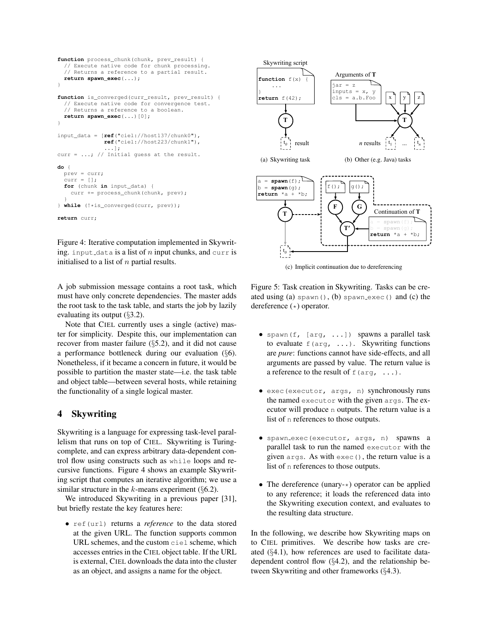```
function process chunk(chunk, prev_result) {
  // Execute native code for chunk processing.
  // Returns a reference to a partial result.
 return spawn_exec(...);
}
function is_converged(curr_result, prev_result) {
  // Execute native code for convergence test.
  // Returns a reference to a boolean.
 return spawn_exec(...)[0];
}
input_data = [ref("ciel://host137/chunk0"),
              ref("ciel://host223/chunk1"),
               ...];
curr = ...; // Initial guess at the result.
do {
 prev = curr;
  curr = [];
  for (chunk in input_data) {
    curr += process_chunk(chunk, prev);
  }
} while (!*is_converged(curr, prev));
return curr;
```
Figure 4: Iterative computation implemented in Skywriting. input data is a list of n input chunks, and curr is initialised to a list of  $n$  partial results.

A job submission message contains a root task, which must have only concrete dependencies. The master adds the root task to the task table, and starts the job by lazily evaluating its output  $(\S3.2)$ .

Note that CIEL currently uses a single (active) master for simplicity. Despite this, our implementation can recover from master failure (§5.2), and it did not cause a performance bottleneck during our evaluation (§6). Nonetheless, if it became a concern in future, it would be possible to partition the master state—i.e. the task table and object table—between several hosts, while retaining the functionality of a single logical master.

## 4 Skywriting

Skywriting is a language for expressing task-level parallelism that runs on top of CIEL. Skywriting is Turingcomplete, and can express arbitrary data-dependent control flow using constructs such as while loops and recursive functions. Figure 4 shows an example Skywriting script that computes an iterative algorithm; we use a similar structure in the k-means experiment  $(\S6.2)$ .

We introduced Skywriting in a previous paper [31], but briefly restate the key features here:

• ref(url) returns a *reference* to the data stored at the given URL. The function supports common URL schemes, and the custom ciel scheme, which accesses entries in the CIEL object table. If the URL is external, CIEL downloads the data into the cluster as an object, and assigns a name for the object.



(c) Implicit continuation due to dereferencing

Figure 5: Task creation in Skywriting. Tasks can be created using (a) spawn $($ ),  $(b)$  spawn exec $()$  and  $(c)$  the dereference (\*) operator.

- spawn(f, [arg, ...]) spawns a parallel task to evaluate  $f(\text{arg}, \ldots)$ . Skywriting functions are *pure*: functions cannot have side-effects, and all arguments are passed by value. The return value is a reference to the result of  $f(\arg, \ldots)$ .
- exec(executor, args, n) synchronously runs the named executor with the given args. The executor will produce n outputs. The return value is a list of n references to those outputs.
- spawn exec(executor, args, n) spawns a parallel task to run the named executor with the given args. As with exec(), the return value is a list of n references to those outputs.
- The dereference (unary- $\star$ ) operator can be applied to any reference; it loads the referenced data into the Skywriting execution context, and evaluates to the resulting data structure.

In the following, we describe how Skywriting maps on to CIEL primitives. We describe how tasks are created (§4.1), how references are used to facilitate datadependent control flow (§4.2), and the relationship between Skywriting and other frameworks (§4.3).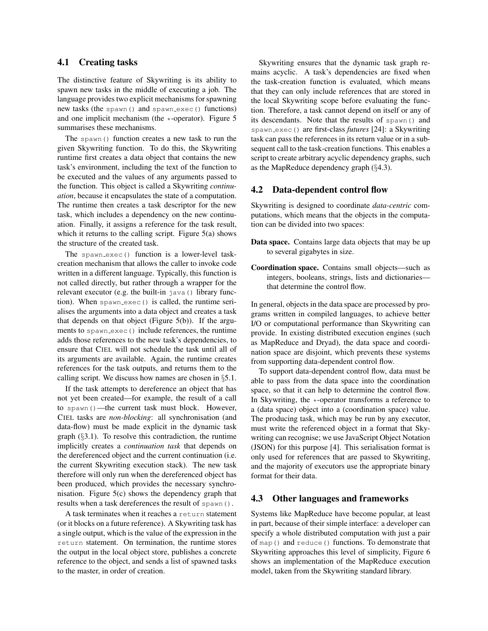## 4.1 Creating tasks

The distinctive feature of Skywriting is its ability to spawn new tasks in the middle of executing a job. The language provides two explicit mechanisms for spawning new tasks (the spawn() and spawn\_exec() functions) and one implicit mechanism (the \*-operator). Figure 5 summarises these mechanisms.

The spawn() function creates a new task to run the given Skywriting function. To do this, the Skywriting runtime first creates a data object that contains the new task's environment, including the text of the function to be executed and the values of any arguments passed to the function. This object is called a Skywriting *continuation*, because it encapsulates the state of a computation. The runtime then creates a task descriptor for the new task, which includes a dependency on the new continuation. Finally, it assigns a reference for the task result, which it returns to the calling script. Figure 5(a) shows the structure of the created task.

The spawn exec() function is a lower-level taskcreation mechanism that allows the caller to invoke code written in a different language. Typically, this function is not called directly, but rather through a wrapper for the relevant executor (e.g. the built-in java() library function). When spawn\_exec() is called, the runtime serialises the arguments into a data object and creates a task that depends on that object (Figure 5(b)). If the arguments to spawn\_exec() include references, the runtime adds those references to the new task's dependencies, to ensure that CIEL will not schedule the task until all of its arguments are available. Again, the runtime creates references for the task outputs, and returns them to the calling script. We discuss how names are chosen in §5.1.

If the task attempts to dereference an object that has not yet been created—for example, the result of a call to spawn()—the current task must block. However, CIEL tasks are *non-blocking*: all synchronisation (and data-flow) must be made explicit in the dynamic task graph  $(\S 3.1)$ . To resolve this contradiction, the runtime implicitly creates a *continuation task* that depends on the dereferenced object and the current continuation (i.e. the current Skywriting execution stack). The new task therefore will only run when the dereferenced object has been produced, which provides the necessary synchronisation. Figure 5(c) shows the dependency graph that results when a task dereferences the result of spawn().

A task terminates when it reaches a return statement (or it blocks on a future reference). A Skywriting task has a single output, which is the value of the expression in the return statement. On termination, the runtime stores the output in the local object store, publishes a concrete reference to the object, and sends a list of spawned tasks to the master, in order of creation.

Skywriting ensures that the dynamic task graph remains acyclic. A task's dependencies are fixed when the task-creation function is evaluated, which means that they can only include references that are stored in the local Skywriting scope before evaluating the function. Therefore, a task cannot depend on itself or any of its descendants. Note that the results of spawn() and spawn exec() are first-class *futures* [24]: a Skywriting task can pass the references in its return value or in a subsequent call to the task-creation functions. This enables a script to create arbitrary acyclic dependency graphs, such as the MapReduce dependency graph (§4.3).

#### 4.2 Data-dependent control flow

Skywriting is designed to coordinate *data-centric* computations, which means that the objects in the computation can be divided into two spaces:

- Data space. Contains large data objects that may be up to several gigabytes in size.
- Coordination space. Contains small objects—such as integers, booleans, strings, lists and dictionaries that determine the control flow.

In general, objects in the data space are processed by programs written in compiled languages, to achieve better I/O or computational performance than Skywriting can provide. In existing distributed execution engines (such as MapReduce and Dryad), the data space and coordination space are disjoint, which prevents these systems from supporting data-dependent control flow.

To support data-dependent control flow, data must be able to pass from the data space into the coordination space, so that it can help to determine the control flow. In Skywriting, the  $\ast$ -operator transforms a reference to a (data space) object into a (coordination space) value. The producing task, which may be run by any executor, must write the referenced object in a format that Skywriting can recognise; we use JavaScript Object Notation (JSON) for this purpose [4]. This serialisation format is only used for references that are passed to Skywriting, and the majority of executors use the appropriate binary format for their data.

#### 4.3 Other languages and frameworks

Systems like MapReduce have become popular, at least in part, because of their simple interface: a developer can specify a whole distributed computation with just a pair of map() and reduce() functions. To demonstrate that Skywriting approaches this level of simplicity, Figure 6 shows an implementation of the MapReduce execution model, taken from the Skywriting standard library.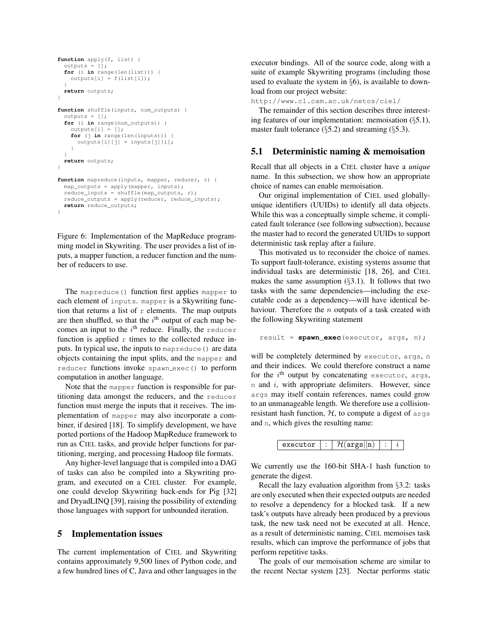```
function apply(f, list) {
  outputs = [];
  for (i in range(len(list))) {
   outputs[i] = f(list[i]);}
 return outputs;
}
function shuffle(inputs, num_outputs) {
  outputs = [];
  for (i in range(num_outputs)) {
    outputs[i] = [];
    for (j in range(len(inputs))) {
      outputs[i][j] = inputs[j][i];
    }
  }
  return outputs;
}
function mapreduce(inputs, mapper, reducer, r) {
  map_outputs = apply(mapper, inputs);
  reduce_inputs = shuffle(map_outputs, r);
  reduce_outputs = apply(reducer, reduce_inputs);
  return reduce_outputs;
}
```
Figure 6: Implementation of the MapReduce programming model in Skywriting. The user provides a list of inputs, a mapper function, a reducer function and the number of reducers to use.

The mapreduce() function first applies mapper to each element of inputs. mapper is a Skywriting function that returns a list of  $r$  elements. The map outputs are then shuffled, so that the  $i<sup>th</sup>$  output of each map becomes an input to the  $i<sup>th</sup>$  reduce. Finally, the reducer function is applied  $r$  times to the collected reduce inputs. In typical use, the inputs to mapreduce() are data objects containing the input splits, and the mapper and reducer functions invoke spawn\_exec() to perform computation in another language.

Note that the mapper function is responsible for partitioning data amongst the reducers, and the reducer function must merge the inputs that it receives. The implementation of mapper may also incorporate a combiner, if desired [18]. To simplify development, we have ported portions of the Hadoop MapReduce framework to run as CIEL tasks, and provide helper functions for partitioning, merging, and processing Hadoop file formats.

Any higher-level language that is compiled into a DAG of tasks can also be compiled into a Skywriting program, and executed on a CIEL cluster. For example, one could develop Skywriting back-ends for Pig [32] and DryadLINQ [39], raising the possibility of extending those languages with support for unbounded iteration.

#### 5 Implementation issues

The current implementation of CIEL and Skywriting contains approximately 9,500 lines of Python code, and a few hundred lines of C, Java and other languages in the executor bindings. All of the source code, along with a suite of example Skywriting programs (including those used to evaluate the system in §6), is available to download from our project website:

http://www.cl.cam.ac.uk/netos/ciel/

The remainder of this section describes three interesting features of our implementation: memoisation  $(\S 5.1)$ , master fault tolerance  $(\S$ 5.2) and streaming  $(\S$ 5.3).

#### 5.1 Deterministic naming & memoisation

Recall that all objects in a CIEL cluster have a *unique* name. In this subsection, we show how an appropriate choice of names can enable memoisation.

Our original implementation of CIEL used globallyunique identifiers (UUIDs) to identify all data objects. While this was a conceptually simple scheme, it complicated fault tolerance (see following subsection), because the master had to record the generated UUIDs to support deterministic task replay after a failure.

This motivated us to reconsider the choice of names. To support fault-tolerance, existing systems assume that individual tasks are deterministic [18, 26], and CIEL makes the same assumption  $(\S3.1)$ . It follows that two tasks with the same dependencies—including the executable code as a dependency—will have identical behaviour. Therefore the  $n$  outputs of a task created with the following Skywriting statement

```
result = spawn_exec(executor, args, n);
```
will be completely determined by executor, args, n and their indices. We could therefore construct a name for the i<sup>th</sup> output by concatenating executor, args, n and i, with appropriate delimiters. However, since args may itself contain references, names could grow to an unmanageable length. We therefore use a collisionresistant hash function,  $H$ , to compute a digest of args and n, which gives the resulting name:



We currently use the 160-bit SHA-1 hash function to generate the digest.

Recall the lazy evaluation algorithm from §3.2: tasks are only executed when their expected outputs are needed to resolve a dependency for a blocked task. If a new task's outputs have already been produced by a previous task, the new task need not be executed at all. Hence, as a result of deterministic naming, CIEL memoises task results, which can improve the performance of jobs that perform repetitive tasks.

The goals of our memoisation scheme are similar to the recent Nectar system [23]. Nectar performs static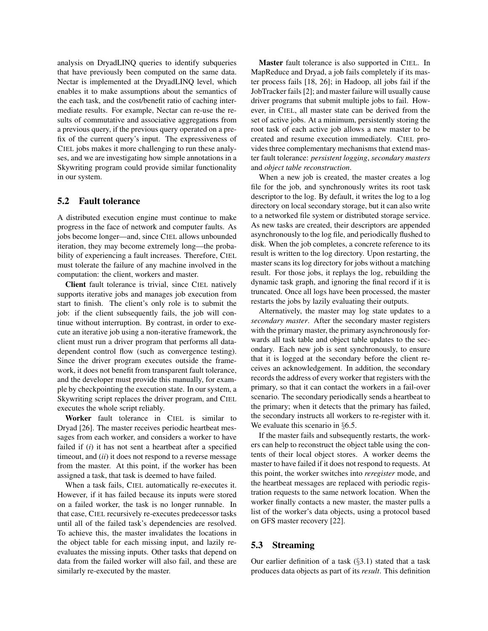analysis on DryadLINQ queries to identify subqueries that have previously been computed on the same data. Nectar is implemented at the DryadLINQ level, which enables it to make assumptions about the semantics of the each task, and the cost/benefit ratio of caching intermediate results. For example, Nectar can re-use the results of commutative and associative aggregations from a previous query, if the previous query operated on a prefix of the current query's input. The expressiveness of CIEL jobs makes it more challenging to run these analyses, and we are investigating how simple annotations in a Skywriting program could provide similar functionality in our system.

### 5.2 Fault tolerance

A distributed execution engine must continue to make progress in the face of network and computer faults. As jobs become longer—and, since CIEL allows unbounded iteration, they may become extremely long—the probability of experiencing a fault increases. Therefore, CIEL must tolerate the failure of any machine involved in the computation: the client, workers and master.

Client fault tolerance is trivial, since CIEL natively supports iterative jobs and manages job execution from start to finish. The client's only role is to submit the job: if the client subsequently fails, the job will continue without interruption. By contrast, in order to execute an iterative job using a non-iterative framework, the client must run a driver program that performs all datadependent control flow (such as convergence testing). Since the driver program executes outside the framework, it does not benefit from transparent fault tolerance, and the developer must provide this manually, for example by checkpointing the execution state. In our system, a Skywriting script replaces the driver program, and CIEL executes the whole script reliably.

Worker fault tolerance in CIEL is similar to Dryad [26]. The master receives periodic heartbeat messages from each worker, and considers a worker to have failed if (*i*) it has not sent a heartbeat after a specified timeout, and (*ii*) it does not respond to a reverse message from the master. At this point, if the worker has been assigned a task, that task is deemed to have failed.

When a task fails, CIEL automatically re-executes it. However, if it has failed because its inputs were stored on a failed worker, the task is no longer runnable. In that case, CIEL recursively re-executes predecessor tasks until all of the failed task's dependencies are resolved. To achieve this, the master invalidates the locations in the object table for each missing input, and lazily reevaluates the missing inputs. Other tasks that depend on data from the failed worker will also fail, and these are similarly re-executed by the master.

Master fault tolerance is also supported in CIEL. In MapReduce and Dryad, a job fails completely if its master process fails [18, 26]; in Hadoop, all jobs fail if the JobTracker fails [2]; and master failure will usually cause driver programs that submit multiple jobs to fail. However, in CIEL, all master state can be derived from the set of active jobs. At a minimum, persistently storing the root task of each active job allows a new master to be created and resume execution immediately. CIEL provides three complementary mechanisms that extend master fault tolerance: *persistent logging*, *secondary masters* and *object table reconstruction*.

When a new job is created, the master creates a log file for the job, and synchronously writes its root task descriptor to the log. By default, it writes the log to a log directory on local secondary storage, but it can also write to a networked file system or distributed storage service. As new tasks are created, their descriptors are appended asynchronously to the log file, and periodically flushed to disk. When the job completes, a concrete reference to its result is written to the log directory. Upon restarting, the master scans its log directory for jobs without a matching result. For those jobs, it replays the log, rebuilding the dynamic task graph, and ignoring the final record if it is truncated. Once all logs have been processed, the master restarts the jobs by lazily evaluating their outputs.

Alternatively, the master may log state updates to a *secondary master*. After the secondary master registers with the primary master, the primary asynchronously forwards all task table and object table updates to the secondary. Each new job is sent synchronously, to ensure that it is logged at the secondary before the client receives an acknowledgement. In addition, the secondary records the address of every worker that registers with the primary, so that it can contact the workers in a fail-over scenario. The secondary periodically sends a heartbeat to the primary; when it detects that the primary has failed, the secondary instructs all workers to re-register with it. We evaluate this scenario in §6.5.

If the master fails and subsequently restarts, the workers can help to reconstruct the object table using the contents of their local object stores. A worker deems the master to have failed if it does not respond to requests. At this point, the worker switches into *reregister* mode, and the heartbeat messages are replaced with periodic registration requests to the same network location. When the worker finally contacts a new master, the master pulls a list of the worker's data objects, using a protocol based on GFS master recovery [22].

## 5.3 Streaming

Our earlier definition of a task  $(\S 3.1)$  stated that a task produces data objects as part of its *result*. This definition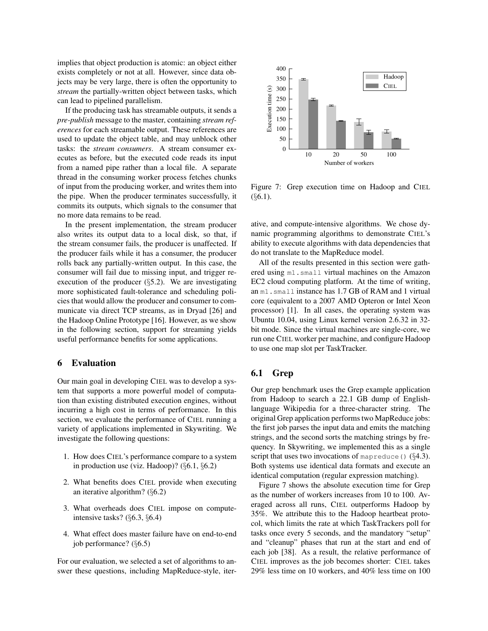implies that object production is atomic: an object either exists completely or not at all. However, since data objects may be very large, there is often the opportunity to *stream* the partially-written object between tasks, which can lead to pipelined parallelism.

If the producing task has streamable outputs, it sends a *pre-publish* message to the master, containing *stream references* for each streamable output. These references are used to update the object table, and may unblock other tasks: the *stream consumers*. A stream consumer executes as before, but the executed code reads its input from a named pipe rather than a local file. A separate thread in the consuming worker process fetches chunks of input from the producing worker, and writes them into the pipe. When the producer terminates successfully, it commits its outputs, which signals to the consumer that no more data remains to be read.

In the present implementation, the stream producer also writes its output data to a local disk, so that, if the stream consumer fails, the producer is unaffected. If the producer fails while it has a consumer, the producer rolls back any partially-written output. In this case, the consumer will fail due to missing input, and trigger reexecution of the producer  $(\S$ 5.2). We are investigating more sophisticated fault-tolerance and scheduling policies that would allow the producer and consumer to communicate via direct TCP streams, as in Dryad [26] and the Hadoop Online Prototype [16]. However, as we show in the following section, support for streaming yields useful performance benefits for some applications.

#### 6 Evaluation

Our main goal in developing CIEL was to develop a system that supports a more powerful model of computation than existing distributed execution engines, without incurring a high cost in terms of performance. In this section, we evaluate the performance of CIEL running a variety of applications implemented in Skywriting. We investigate the following questions:

- 1. How does CIEL's performance compare to a system in production use (viz. Hadoop)? (§6.1, §6.2)
- 2. What benefits does CIEL provide when executing an iterative algorithm? (§6.2)
- 3. What overheads does CIEL impose on computeintensive tasks? (§6.3, §6.4)
- 4. What effect does master failure have on end-to-end job performance? (§6.5)

For our evaluation, we selected a set of algorithms to answer these questions, including MapReduce-style, iter-



Figure 7: Grep execution time on Hadoop and CIEL  $(\S 6.1)$ .

ative, and compute-intensive algorithms. We chose dynamic programming algorithms to demonstrate CIEL's ability to execute algorithms with data dependencies that do not translate to the MapReduce model.

All of the results presented in this section were gathered using m1.small virtual machines on the Amazon EC2 cloud computing platform. At the time of writing, an m1.small instance has 1.7 GB of RAM and 1 virtual core (equivalent to a 2007 AMD Opteron or Intel Xeon processor) [1]. In all cases, the operating system was Ubuntu 10.04, using Linux kernel version 2.6.32 in 32 bit mode. Since the virtual machines are single-core, we run one CIEL worker per machine, and configure Hadoop to use one map slot per TaskTracker.

## 6.1 Grep

Our grep benchmark uses the Grep example application from Hadoop to search a 22.1 GB dump of Englishlanguage Wikipedia for a three-character string. The original Grep application performs two MapReduce jobs: the first job parses the input data and emits the matching strings, and the second sorts the matching strings by frequency. In Skywriting, we implemented this as a single script that uses two invocations of mapreduce ()  $(\S 4.3)$ . Both systems use identical data formats and execute an identical computation (regular expression matching).

Figure 7 shows the absolute execution time for Grep as the number of workers increases from 10 to 100. Averaged across all runs, CIEL outperforms Hadoop by 35%. We attribute this to the Hadoop heartbeat protocol, which limits the rate at which TaskTrackers poll for tasks once every 5 seconds, and the mandatory "setup" and "cleanup" phases that run at the start and end of each job [38]. As a result, the relative performance of CIEL improves as the job becomes shorter: CIEL takes 29% less time on 10 workers, and 40% less time on 100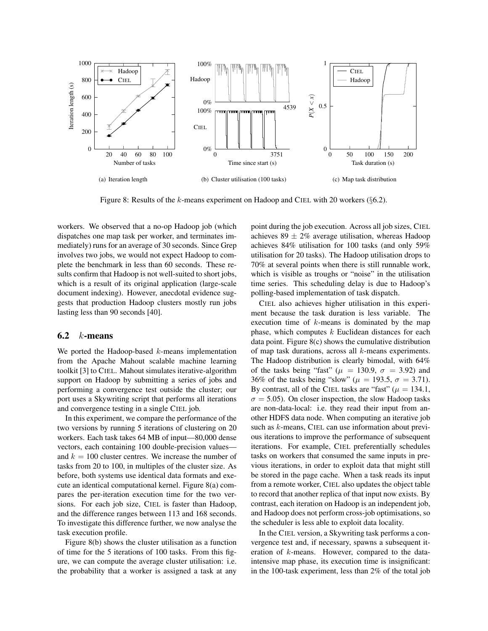

Figure 8: Results of the k-means experiment on Hadoop and CIEL with 20 workers (§6.2).

workers. We observed that a no-op Hadoop job (which dispatches one map task per worker, and terminates immediately) runs for an average of 30 seconds. Since Grep involves two jobs, we would not expect Hadoop to complete the benchmark in less than 60 seconds. These results confirm that Hadoop is not well-suited to short jobs, which is a result of its original application (large-scale document indexing). However, anecdotal evidence suggests that production Hadoop clusters mostly run jobs lasting less than 90 seconds [40].

#### $6.2 \quad k$ -means

We ported the Hadoop-based  $k$ -means implementation from the Apache Mahout scalable machine learning toolkit [3] to CIEL. Mahout simulates iterative-algorithm support on Hadoop by submitting a series of jobs and performing a convergence test outside the cluster; our port uses a Skywriting script that performs all iterations and convergence testing in a single CIEL job.

In this experiment, we compare the performance of the two versions by running 5 iterations of clustering on 20 workers. Each task takes 64 MB of input—80,000 dense vectors, each containing 100 double-precision values and  $k = 100$  cluster centres. We increase the number of tasks from 20 to 100, in multiples of the cluster size. As before, both systems use identical data formats and execute an identical computational kernel. Figure 8(a) compares the per-iteration execution time for the two versions. For each job size, CIEL is faster than Hadoop, and the difference ranges between 113 and 168 seconds. To investigate this difference further, we now analyse the task execution profile.

Figure 8(b) shows the cluster utilisation as a function of time for the 5 iterations of 100 tasks. From this figure, we can compute the average cluster utilisation: i.e. the probability that a worker is assigned a task at any point during the job execution. Across all job sizes, CIEL achieves 89  $\pm$  2% average utilisation, whereas Hadoop achieves 84% utilisation for 100 tasks (and only 59% utilisation for 20 tasks). The Hadoop utilisation drops to 70% at several points when there is still runnable work, which is visible as troughs or "noise" in the utilisation time series. This scheduling delay is due to Hadoop's polling-based implementation of task dispatch.

CIEL also achieves higher utilisation in this experiment because the task duration is less variable. The execution time of  $k$ -means is dominated by the map phase, which computes  $k$  Euclidean distances for each data point. Figure 8(c) shows the cumulative distribution of map task durations, across all  $k$ -means experiments. The Hadoop distribution is clearly bimodal, with 64% of the tasks being "fast" ( $\mu$  = 130.9,  $\sigma$  = 3.92) and 36% of the tasks being "slow" ( $\mu = 193.5, \sigma = 3.71$ ). By contrast, all of the CIEL tasks are "fast" ( $\mu = 134.1$ ,  $\sigma = 5.05$ ). On closer inspection, the slow Hadoop tasks are non-data-local: i.e. they read their input from another HDFS data node. When computing an iterative job such as k-means, CIEL can use information about previous iterations to improve the performance of subsequent iterations. For example, CIEL preferentially schedules tasks on workers that consumed the same inputs in previous iterations, in order to exploit data that might still be stored in the page cache. When a task reads its input from a remote worker, CIEL also updates the object table to record that another replica of that input now exists. By contrast, each iteration on Hadoop is an independent job, and Hadoop does not perform cross-job optimisations, so the scheduler is less able to exploit data locality.

In the CIEL version, a Skywriting task performs a convergence test and, if necessary, spawns a subsequent iteration of k-means. However, compared to the dataintensive map phase, its execution time is insignificant: in the 100-task experiment, less than 2% of the total job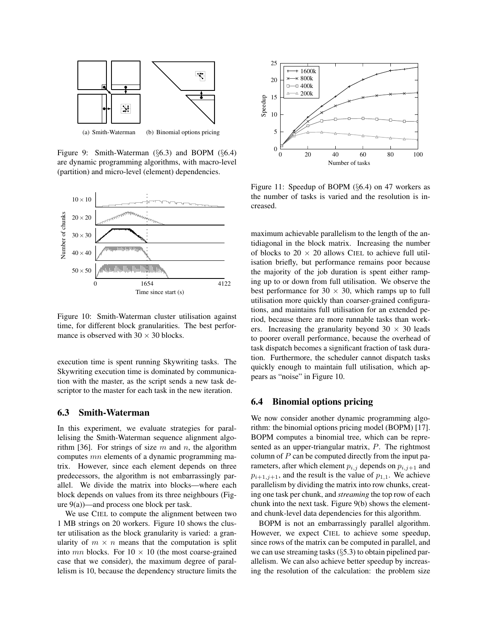

(a) Smith-Waterman (b) Binomial options pricing

Figure 9: Smith-Waterman (§6.3) and BOPM (§6.4) are dynamic programming algorithms, with macro-level (partition) and micro-level (element) dependencies.



Figure 10: Smith-Waterman cluster utilisation against time, for different block granularities. The best performance is observed with  $30 \times 30$  blocks.

execution time is spent running Skywriting tasks. The Skywriting execution time is dominated by communication with the master, as the script sends a new task descriptor to the master for each task in the new iteration.

## 6.3 Smith-Waterman

In this experiment, we evaluate strategies for parallelising the Smith-Waterman sequence alignment algorithm [36]. For strings of size  $m$  and  $n$ , the algorithm computes mn elements of a dynamic programming matrix. However, since each element depends on three predecessors, the algorithm is not embarrassingly parallel. We divide the matrix into blocks—where each block depends on values from its three neighbours (Figure  $9(a)$ —and process one block per task.

We use CIEL to compute the alignment between two 1 MB strings on 20 workers. Figure 10 shows the cluster utilisation as the block granularity is varied: a granularity of  $m \times n$  means that the computation is split into  $mn$  blocks. For  $10 \times 10$  (the most coarse-grained case that we consider), the maximum degree of parallelism is 10, because the dependency structure limits the



Figure 11: Speedup of BOPM (§6.4) on 47 workers as the number of tasks is varied and the resolution is increased.

maximum achievable parallelism to the length of the antidiagonal in the block matrix. Increasing the number of blocks to  $20 \times 20$  allows CIEL to achieve full utilisation briefly, but performance remains poor because the majority of the job duration is spent either ramping up to or down from full utilisation. We observe the best performance for  $30 \times 30$ , which ramps up to full utilisation more quickly than coarser-grained configurations, and maintains full utilisation for an extended period, because there are more runnable tasks than workers. Increasing the granularity beyond  $30 \times 30$  leads to poorer overall performance, because the overhead of task dispatch becomes a significant fraction of task duration. Furthermore, the scheduler cannot dispatch tasks quickly enough to maintain full utilisation, which appears as "noise" in Figure 10.

#### 6.4 Binomial options pricing

We now consider another dynamic programming algorithm: the binomial options pricing model (BOPM) [17]. BOPM computes a binomial tree, which can be represented as an upper-triangular matrix, P. The rightmost column of  $P$  can be computed directly from the input parameters, after which element  $p_{i,j}$  depends on  $p_{i,j+1}$  and  $p_{i+1,j+1}$ , and the result is the value of  $p_{1,1}$ . We achieve parallelism by dividing the matrix into row chunks, creating one task per chunk, and *streaming* the top row of each chunk into the next task. Figure 9(b) shows the elementand chunk-level data dependencies for this algorithm.

BOPM is not an embarrassingly parallel algorithm. However, we expect CIEL to achieve some speedup, since rows of the matrix can be computed in parallel, and we can use streaming tasks (§5.3) to obtain pipelined parallelism. We can also achieve better speedup by increasing the resolution of the calculation: the problem size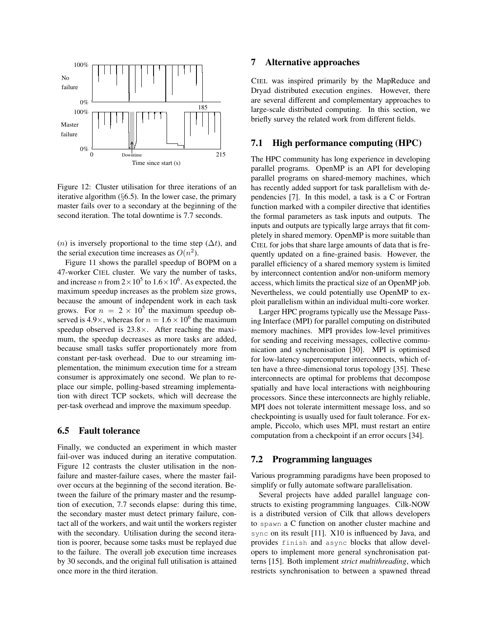

Figure 12: Cluster utilisation for three iterations of an iterative algorithm (§6.5). In the lower case, the primary master fails over to a secondary at the beginning of the second iteration. The total downtime is 7.7 seconds.

(n) is inversely proportional to the time step ( $\Delta t$ ), and the serial execution time increases as  $O(n^2)$ .

Figure 11 shows the parallel speedup of BOPM on a 47-worker CIEL cluster. We vary the number of tasks, and increase *n* from  $2 \times 10^5$  to  $1.6 \times 10^6$ . As expected, the maximum speedup increases as the problem size grows, because the amount of independent work in each task grows. For  $n = 2 \times 10^5$  the maximum speedup observed is 4.9 $\times$ , whereas for  $n = 1.6 \times 10^6$  the maximum speedup observed is  $23.8\times$ . After reaching the maximum, the speedup decreases as more tasks are added, because small tasks suffer proportionately more from constant per-task overhead. Due to our streaming implementation, the minimum execution time for a stream consumer is approximately one second. We plan to replace our simple, polling-based streaming implementation with direct TCP sockets, which will decrease the per-task overhead and improve the maximum speedup.

#### 6.5 Fault tolerance

Finally, we conducted an experiment in which master fail-over was induced during an iterative computation. Figure 12 contrasts the cluster utilisation in the nonfailure and master-failure cases, where the master failover occurs at the beginning of the second iteration. Between the failure of the primary master and the resumption of execution, 7.7 seconds elapse: during this time, the secondary master must detect primary failure, contact all of the workers, and wait until the workers register with the secondary. Utilisation during the second iteration is poorer, because some tasks must be replayed due to the failure. The overall job execution time increases by 30 seconds, and the original full utilisation is attained once more in the third iteration.

## 7 Alternative approaches

CIEL was inspired primarily by the MapReduce and Dryad distributed execution engines. However, there are several different and complementary approaches to large-scale distributed computing. In this section, we briefly survey the related work from different fields.

#### 7.1 High performance computing (HPC)

The HPC community has long experience in developing parallel programs. OpenMP is an API for developing parallel programs on shared-memory machines, which has recently added support for task parallelism with dependencies [7]. In this model, a task is a C or Fortran function marked with a compiler directive that identifies the formal parameters as task inputs and outputs. The inputs and outputs are typically large arrays that fit completely in shared memory. OpenMP is more suitable than CIEL for jobs that share large amounts of data that is frequently updated on a fine-grained basis. However, the parallel efficiency of a shared memory system is limited by interconnect contention and/or non-uniform memory access, which limits the practical size of an OpenMP job. Nevertheless, we could potentially use OpenMP to exploit parallelism within an individual multi-core worker.

Larger HPC programs typically use the Message Passing Interface (MPI) for parallel computing on distributed memory machines. MPI provides low-level primitives for sending and receiving messages, collective communication and synchronisation [30]. MPI is optimised for low-latency supercomputer interconnects, which often have a three-dimensional torus topology [35]. These interconnects are optimal for problems that decompose spatially and have local interactions with neighbouring processors. Since these interconnects are highly reliable, MPI does not tolerate intermittent message loss, and so checkpointing is usually used for fault tolerance. For example, Piccolo, which uses MPI, must restart an entire computation from a checkpoint if an error occurs [34].

## 7.2 Programming languages

Various programming paradigms have been proposed to simplify or fully automate software parallelisation.

Several projects have added parallel language constructs to existing programming languages. Cilk-NOW is a distributed version of Cilk that allows developers to spawn a C function on another cluster machine and sync on its result [11]. X10 is influenced by Java, and provides finish and async blocks that allow developers to implement more general synchronisation patterns [15]. Both implement *strict multithreading*, which restricts synchronisation to between a spawned thread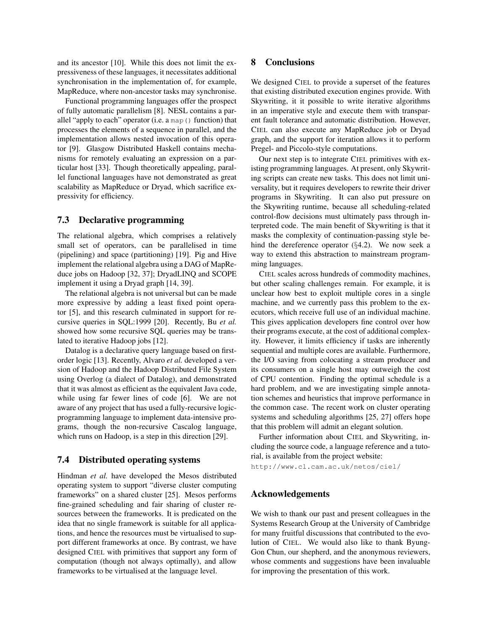and its ancestor [10]. While this does not limit the expressiveness of these languages, it necessitates additional synchronisation in the implementation of, for example, MapReduce, where non-ancestor tasks may synchronise.

Functional programming languages offer the prospect of fully automatic parallelism [8]. NESL contains a parallel "apply to each" operator (i.e. a map() function) that processes the elements of a sequence in parallel, and the implementation allows nested invocation of this operator [9]. Glasgow Distributed Haskell contains mechanisms for remotely evaluating an expression on a particular host [33]. Though theoretically appealing, parallel functional languages have not demonstrated as great scalability as MapReduce or Dryad, which sacrifice expressivity for efficiency.

## 7.3 Declarative programming

The relational algebra, which comprises a relatively small set of operators, can be parallelised in time (pipelining) and space (partitioning) [19]. Pig and Hive implement the relational algebra using a DAG of MapReduce jobs on Hadoop [32, 37]; DryadLINQ and SCOPE implement it using a Dryad graph [14, 39].

The relational algebra is not universal but can be made more expressive by adding a least fixed point operator [5], and this research culminated in support for recursive queries in SQL:1999 [20]. Recently, Bu *et al.* showed how some recursive SQL queries may be translated to iterative Hadoop jobs [12].

Datalog is a declarative query language based on firstorder logic [13]. Recently, Alvaro *et al.* developed a version of Hadoop and the Hadoop Distributed File System using Overlog (a dialect of Datalog), and demonstrated that it was almost as efficient as the equivalent Java code, while using far fewer lines of code [6]. We are not aware of any project that has used a fully-recursive logicprogramming language to implement data-intensive programs, though the non-recursive Cascalog language, which runs on Hadoop, is a step in this direction [29].

## 7.4 Distributed operating systems

Hindman *et al.* have developed the Mesos distributed operating system to support "diverse cluster computing frameworks" on a shared cluster [25]. Mesos performs fine-grained scheduling and fair sharing of cluster resources between the frameworks. It is predicated on the idea that no single framework is suitable for all applications, and hence the resources must be virtualised to support different frameworks at once. By contrast, we have designed CIEL with primitives that support any form of computation (though not always optimally), and allow frameworks to be virtualised at the language level.

## 8 Conclusions

We designed CIEL to provide a superset of the features that existing distributed execution engines provide. With Skywriting, it it possible to write iterative algorithms in an imperative style and execute them with transparent fault tolerance and automatic distribution. However, CIEL can also execute any MapReduce job or Dryad graph, and the support for iteration allows it to perform Pregel- and Piccolo-style computations.

Our next step is to integrate CIEL primitives with existing programming languages. At present, only Skywriting scripts can create new tasks. This does not limit universality, but it requires developers to rewrite their driver programs in Skywriting. It can also put pressure on the Skywriting runtime, because all scheduling-related control-flow decisions must ultimately pass through interpreted code. The main benefit of Skywriting is that it masks the complexity of continuation-passing style behind the dereference operator (§4.2). We now seek a way to extend this abstraction to mainstream programming languages.

CIEL scales across hundreds of commodity machines, but other scaling challenges remain. For example, it is unclear how best to exploit multiple cores in a single machine, and we currently pass this problem to the executors, which receive full use of an individual machine. This gives application developers fine control over how their programs execute, at the cost of additional complexity. However, it limits efficiency if tasks are inherently sequential and multiple cores are available. Furthermore, the I/O saving from colocating a stream producer and its consumers on a single host may outweigh the cost of CPU contention. Finding the optimal schedule is a hard problem, and we are investigating simple annotation schemes and heuristics that improve performance in the common case. The recent work on cluster operating systems and scheduling algorithms [25, 27] offers hope that this problem will admit an elegant solution.

Further information about CIEL and Skywriting, including the source code, a language reference and a tutorial, is available from the project website:

http://www.cl.cam.ac.uk/netos/ciel/

#### Acknowledgements

We wish to thank our past and present colleagues in the Systems Research Group at the University of Cambridge for many fruitful discussions that contributed to the evolution of CIEL. We would also like to thank Byung-Gon Chun, our shepherd, and the anonymous reviewers, whose comments and suggestions have been invaluable for improving the presentation of this work.